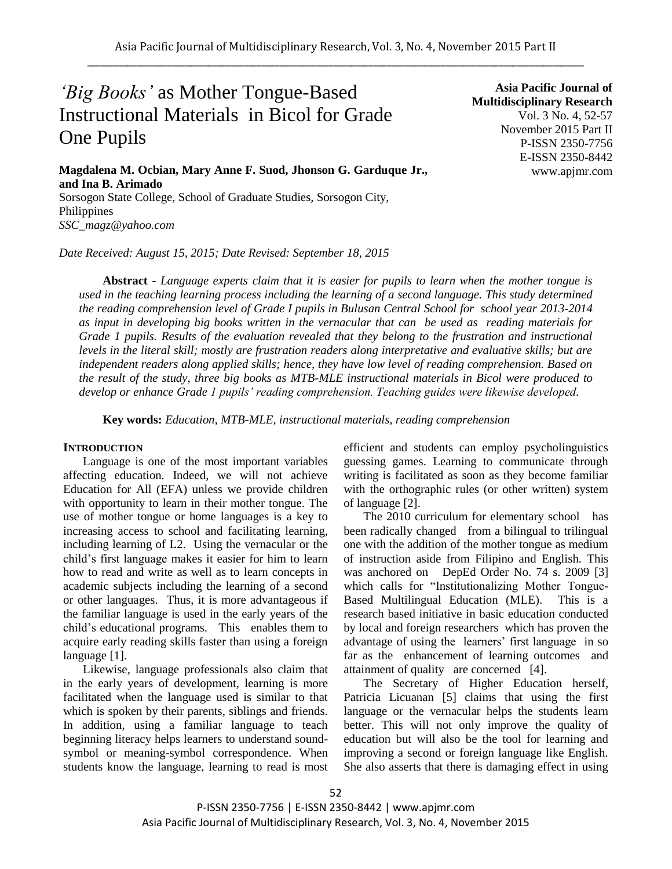# *'Big Books'* as Mother Tongue-Based Instructional Materials in Bicol for Grade One Pupils

**Magdalena M. Ocbian, Mary Anne F. Suod, Jhonson G. Garduque Jr., and Ina B. Arimado** Sorsogon State College, School of Graduate Studies, Sorsogon City, Philippines

*SSC\_magz@yahoo.com*

*Date Received: August 15, 2015; Date Revised: September 18, 2015*

**Asia Pacific Journal of Multidisciplinary Research** Vol. 3 No. 4, 52-57 November 2015 Part II P-ISSN 2350-7756 E-ISSN 2350-8442 www.apjmr.com

**Abstract -** *Language experts claim that it is easier for pupils to learn when the mother tongue is used in the teaching learning process including the learning of a second language. This study determined the reading comprehension level of Grade I pupils in Bulusan Central School for school year 2013-2014 as input in developing big books written in the vernacular that can be used as reading materials for Grade 1 pupils. Results of the evaluation revealed that they belong to the frustration and instructional levels in the literal skill; mostly are frustration readers along interpretative and evaluative skills; but are independent readers along applied skills; hence, they have low level of reading comprehension. Based on the result of the study, three big books as MTB-MLE instructional materials in Bicol were produced to develop or enhance Grade 1 pupils' reading comprehension. Teaching guides were likewise developed.*

**Key words:** *Education, MTB-MLE, instructional materials, reading comprehension*

### **INTRODUCTION**

Language is one of the most important variables affecting education. Indeed, we will not achieve Education for All (EFA) unless we provide children with opportunity to learn in their mother tongue. The use of mother tongue or home languages is a key to increasing access to school and facilitating learning, including learning of L2. Using the vernacular or the child's first language makes it easier for him to learn how to read and write as well as to learn concepts in academic subjects including the learning of a second or other languages. Thus, it is more advantageous if the familiar language is used in the early years of the child's educational programs. This enables them to acquire early reading skills faster than using a foreign language [1].

Likewise, language professionals also claim that in the early years of development, learning is more facilitated when the language used is similar to that which is spoken by their parents, siblings and friends. In addition, using a familiar language to teach beginning literacy helps learners to understand soundsymbol or meaning-symbol correspondence. When students know the language, learning to read is most efficient and students can employ psycholinguistics guessing games. Learning to communicate through writing is facilitated as soon as they become familiar with the orthographic rules (or other written) system of language [2].

The 2010 curriculum for elementary school has been radically changed from a bilingual to trilingual one with the addition of the mother tongue as medium of instruction aside from Filipino and English. This was anchored on DepEd Order No. 74 s. 2009 [3] which calls for "Institutionalizing Mother Tongue-Based Multilingual Education (MLE). This is a research based initiative in basic education conducted by local and foreign researchers which has proven the advantage of using the learners' first language in so far as the enhancement of learning outcomes and attainment of quality are concerned [4].

The Secretary of Higher Education herself, Patricia Licuanan [5] claims that using the first language or the vernacular helps the students learn better. This will not only improve the quality of education but will also be the tool for learning and improving a second or foreign language like English. She also asserts that there is damaging effect in using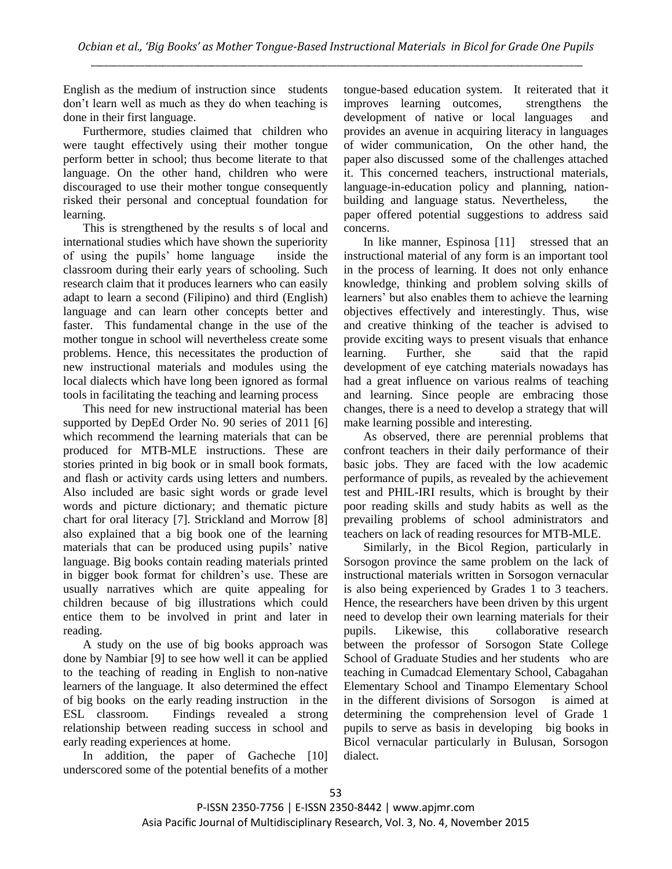English as the medium of instruction since students don't learn well as much as they do when teaching is done in their first language.

Furthermore, studies claimed that children who were taught effectively using their mother tongue perform better in school; thus become literate to that language. On the other hand, children who were discouraged to use their mother tongue consequently risked their personal and conceptual foundation for learning.

This is strengthened by the results s of local and international studies which have shown the superiority of using the pupils' home language inside the classroom during their early years of schooling. Such research claim that it produces learners who can easily adapt to learn a second (Filipino) and third (English) language and can learn other concepts better and faster. This fundamental change in the use of the mother tongue in school will nevertheless create some problems. Hence, this necessitates the production of new instructional materials and modules using the local dialects which have long been ignored as formal tools in facilitating the teaching and learning process

This need for new instructional material has been supported by DepEd Order No. 90 series of 2011 [6] which recommend the learning materials that can be produced for MTB-MLE instructions. These are stories printed in big book or in small book formats, and flash or activity cards using letters and numbers. Also included are basic sight words or grade level words and picture dictionary; and thematic picture chart for oral literacy [7]. Strickland and Morrow [8] also explained that a big book one of the learning materials that can be produced using pupils' native language. Big books contain reading materials printed in bigger book format for children's use. These are usually narratives which are quite appealing for children because of big illustrations which could entice them to be involved in print and later in reading.

A study on the use of big books approach was done by Nambiar [9] to see how well it can be applied to the teaching of reading in English to non-native learners of the language. It also determined the effect of big books on the early reading instruction in the ESL classroom. Findings revealed a strong relationship between reading success in school and early reading experiences at home.

In addition, the paper of Gacheche [10] underscored some of the potential benefits of a mother tongue-based education system. It reiterated that it improves learning outcomes, strengthens the development of native or local languages and provides an avenue in acquiring literacy in languages of wider communication, On the other hand, the paper also discussed some of the challenges attached it. This concerned teachers, instructional materials, language-in-education policy and planning, nationbuilding and language status. Nevertheless, the paper offered potential suggestions to address said concerns.

In like manner, Espinosa [11] stressed that an instructional material of any form is an important tool in the process of learning. It does not only enhance knowledge, thinking and problem solving skills of learners' but also enables them to achieve the learning objectives effectively and interestingly. Thus, wise and creative thinking of the teacher is advised to provide exciting ways to present visuals that enhance learning. Further, she said that the rapid development of eye catching materials nowadays has had a great influence on various realms of teaching and learning. Since people are embracing those changes, there is a need to develop a strategy that will make learning possible and interesting.

As observed, there are perennial problems that confront teachers in their daily performance of their basic jobs. They are faced with the low academic performance of pupils, as revealed by the achievement test and PHIL-IRI results, which is brought by their poor reading skills and study habits as well as the prevailing problems of school administrators and teachers on lack of reading resources for MTB-MLE.

Similarly, in the Bicol Region, particularly in Sorsogon province the same problem on the lack of instructional materials written in Sorsogon vernacular is also being experienced by Grades 1 to 3 teachers. Hence, the researchers have been driven by this urgent need to develop their own learning materials for their pupils. Likewise, this collaborative research between the professor of Sorsogon State College School of Graduate Studies and her students who are teaching in Cumadcad Elementary School, Cabagahan Elementary School and Tinampo Elementary School in the different divisions of Sorsogon is aimed at determining the comprehension level of Grade 1 pupils to serve as basis in developing big books in Bicol vernacular particularly in Bulusan, Sorsogon dialect.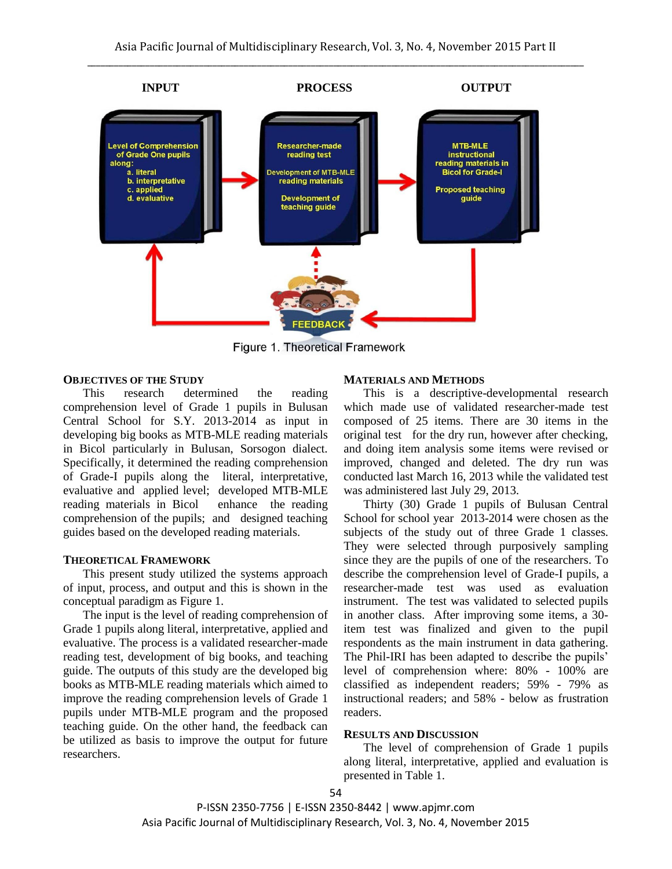

Figure 1. Theoretical Framework

### **OBJECTIVES OF THE STUDY**

This research determined the reading comprehension level of Grade 1 pupils in Bulusan Central School for S.Y. 2013-2014 as input in developing big books as MTB-MLE reading materials in Bicol particularly in Bulusan, Sorsogon dialect. Specifically, it determined the reading comprehension of Grade-I pupils along the literal, interpretative, evaluative and applied level; developed MTB-MLE reading materials in Bicol enhance the reading comprehension of the pupils; and designed teaching guides based on the developed reading materials.

## **THEORETICAL FRAMEWORK**

This present study utilized the systems approach of input, process, and output and this is shown in the conceptual paradigm as Figure 1.

The input is the level of reading comprehension of Grade 1 pupils along literal, interpretative, applied and evaluative. The process is a validated researcher-made reading test, development of big books, and teaching guide. The outputs of this study are the developed big books as MTB-MLE reading materials which aimed to improve the reading comprehension levels of Grade 1 pupils under MTB-MLE program and the proposed teaching guide. On the other hand, the feedback can be utilized as basis to improve the output for future researchers.

#### **MATERIALS AND METHODS**

This is a descriptive-developmental research which made use of validated researcher-made test composed of 25 items. There are 30 items in the original test for the dry run, however after checking, and doing item analysis some items were revised or improved, changed and deleted. The dry run was conducted last March 16, 2013 while the validated test was administered last July 29, 2013.

Thirty (30) Grade 1 pupils of Bulusan Central School for school year 2013-2014 were chosen as the subjects of the study out of three Grade 1 classes. They were selected through purposively sampling since they are the pupils of one of the researchers. To describe the comprehension level of Grade-I pupils, a researcher-made test was used as evaluation instrument. The test was validated to selected pupils in another class. After improving some items, a 30 item test was finalized and given to the pupil respondents as the main instrument in data gathering. The Phil-IRI has been adapted to describe the pupils' level of comprehension where: 80% - 100% are classified as independent readers; 59% - 79% as instructional readers; and 58% - below as frustration readers.

## **RESULTS AND DISCUSSION**

The level of comprehension of Grade 1 pupils along literal, interpretative, applied and evaluation is presented in Table 1.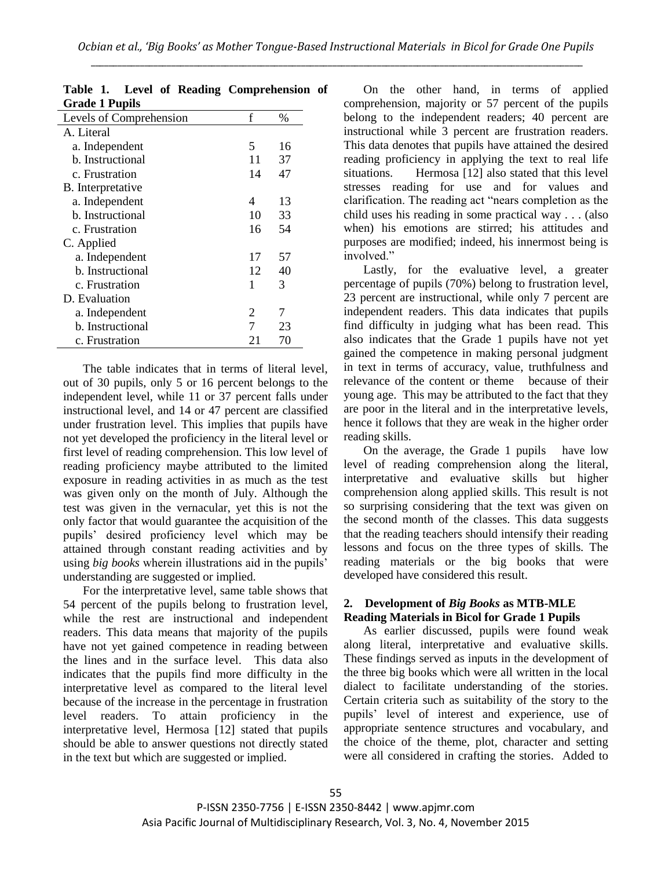| <b>OLAUC 1 1 UPIIS</b>  |    |      |
|-------------------------|----|------|
| Levels of Comprehension | f  | $\%$ |
| A. Literal              |    |      |
| a. Independent          | 5  | 16   |
| b. Instructional        | 11 | 37   |
| c. Frustration          | 14 | 47   |
| B. Interpretative       |    |      |
| a. Independent          | 4  | 13   |
| b. Instructional        | 10 | 33   |
| c. Frustration          | 16 | 54   |
| C. Applied              |    |      |
| a. Independent          | 17 | 57   |
| b. Instructional        | 12 | 40   |
| c. Frustration          | 1  | 3    |
| D. Evaluation           |    |      |
| a. Independent          | 2  | 7    |
| b. Instructional        | 7  | 23   |
| c. Frustration          | 21 | 70   |

|                       |  | Table 1. Level of Reading Comprehension of |  |
|-----------------------|--|--------------------------------------------|--|
| <b>Grade 1 Pupils</b> |  |                                            |  |

The table indicates that in terms of literal level, out of 30 pupils, only 5 or 16 percent belongs to the independent level, while 11 or 37 percent falls under instructional level, and 14 or 47 percent are classified under frustration level. This implies that pupils have not yet developed the proficiency in the literal level or first level of reading comprehension. This low level of reading proficiency maybe attributed to the limited exposure in reading activities in as much as the test was given only on the month of July. Although the test was given in the vernacular, yet this is not the only factor that would guarantee the acquisition of the pupils' desired proficiency level which may be attained through constant reading activities and by using *big books* wherein illustrations aid in the pupils' understanding are suggested or implied.

For the interpretative level, same table shows that 54 percent of the pupils belong to frustration level, while the rest are instructional and independent readers. This data means that majority of the pupils have not yet gained competence in reading between the lines and in the surface level. This data also indicates that the pupils find more difficulty in the interpretative level as compared to the literal level because of the increase in the percentage in frustration level readers. To attain proficiency in the interpretative level, Hermosa [12] stated that pupils should be able to answer questions not directly stated in the text but which are suggested or implied.

On the other hand, in terms of applied comprehension, majority or 57 percent of the pupils belong to the independent readers; 40 percent are instructional while 3 percent are frustration readers. This data denotes that pupils have attained the desired reading proficiency in applying the text to real life situations. Hermosa [12] also stated that this level stresses reading for use and for values and clarification. The reading act "nears completion as the child uses his reading in some practical way . . . (also when) his emotions are stirred; his attitudes and purposes are modified; indeed, his innermost being is involved."

Lastly, for the evaluative level, a greater percentage of pupils (70%) belong to frustration level, 23 percent are instructional, while only 7 percent are independent readers. This data indicates that pupils find difficulty in judging what has been read. This also indicates that the Grade 1 pupils have not yet gained the competence in making personal judgment in text in terms of accuracy, value, truthfulness and relevance of the content or theme because of their young age. This may be attributed to the fact that they are poor in the literal and in the interpretative levels, hence it follows that they are weak in the higher order reading skills.

On the average, the Grade 1 pupils have low level of reading comprehension along the literal, interpretative and evaluative skills but higher comprehension along applied skills. This result is not so surprising considering that the text was given on the second month of the classes. This data suggests that the reading teachers should intensify their reading lessons and focus on the three types of skills. The reading materials or the big books that were developed have considered this result.

# **2. Development of** *Big Books* **as MTB-MLE Reading Materials in Bicol for Grade 1 Pupils**

As earlier discussed, pupils were found weak along literal, interpretative and evaluative skills. These findings served as inputs in the development of the three big books which were all written in the local dialect to facilitate understanding of the stories. Certain criteria such as suitability of the story to the pupils' level of interest and experience, use of appropriate sentence structures and vocabulary, and the choice of the theme, plot, character and setting were all considered in crafting the stories. Added to

P-ISSN 2350-7756 | E-ISSN 2350-8442 | www.apjmr.com Asia Pacific Journal of Multidisciplinary Research, Vol. 3, No. 4, November 2015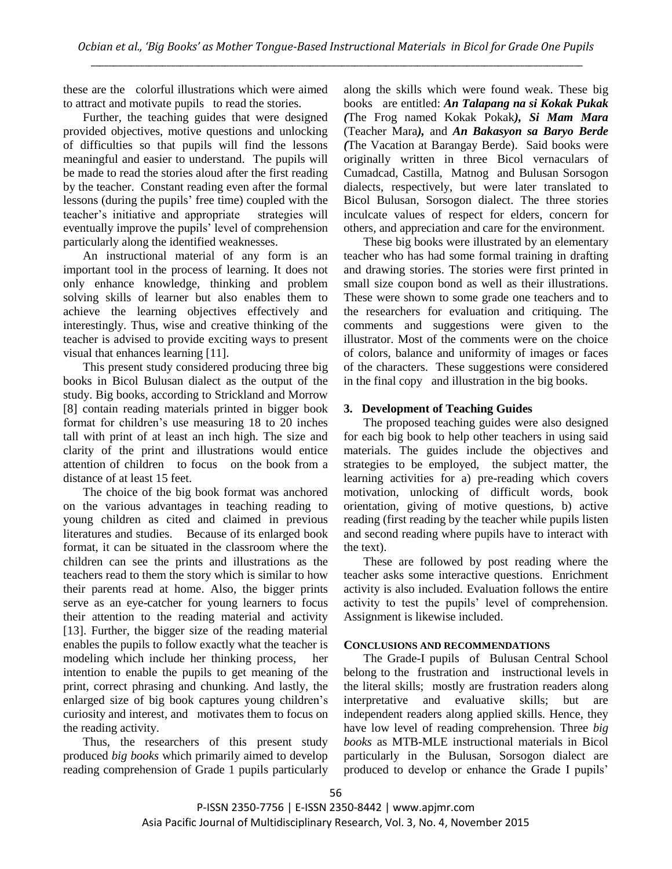these are the colorful illustrations which were aimed to attract and motivate pupils to read the stories.

Further, the teaching guides that were designed provided objectives, motive questions and unlocking of difficulties so that pupils will find the lessons meaningful and easier to understand. The pupils will be made to read the stories aloud after the first reading by the teacher. Constant reading even after the formal lessons (during the pupils' free time) coupled with the teacher's initiative and appropriate strategies will eventually improve the pupils' level of comprehension particularly along the identified weaknesses.

An instructional material of any form is an important tool in the process of learning. It does not only enhance knowledge, thinking and problem solving skills of learner but also enables them to achieve the learning objectives effectively and interestingly. Thus, wise and creative thinking of the teacher is advised to provide exciting ways to present visual that enhances learning [11].

This present study considered producing three big books in Bicol Bulusan dialect as the output of the study. Big books, according to Strickland and Morrow [8] contain reading materials printed in bigger book format for children's use measuring 18 to 20 inches tall with print of at least an inch high. The size and clarity of the print and illustrations would entice attention of children to focus on the book from a distance of at least 15 feet.

The choice of the big book format was anchored on the various advantages in teaching reading to young children as cited and claimed in previous literatures and studies. Because of its enlarged book format, it can be situated in the classroom where the children can see the prints and illustrations as the teachers read to them the story which is similar to how their parents read at home. Also, the bigger prints serve as an eye-catcher for young learners to focus their attention to the reading material and activity [13]. Further, the bigger size of the reading material enables the pupils to follow exactly what the teacher is modeling which include her thinking process, her intention to enable the pupils to get meaning of the print, correct phrasing and chunking. And lastly, the enlarged size of big book captures young children's curiosity and interest, and motivates them to focus on the reading activity.

Thus, the researchers of this present study produced *big books* which primarily aimed to develop reading comprehension of Grade 1 pupils particularly along the skills which were found weak. These big books are entitled: *An Talapang na si Kokak Pukak (*The Frog named Kokak Pokak*), Si Mam Mara*  (Teacher Mara*),* and *An Bakasyon sa Baryo Berde (*The Vacation at Barangay Berde). Said books were originally written in three Bicol vernaculars of Cumadcad, Castilla, Matnog and Bulusan Sorsogon dialects, respectively, but were later translated to Bicol Bulusan, Sorsogon dialect. The three stories inculcate values of respect for elders, concern for others, and appreciation and care for the environment.

These big books were illustrated by an elementary teacher who has had some formal training in drafting and drawing stories. The stories were first printed in small size coupon bond as well as their illustrations. These were shown to some grade one teachers and to the researchers for evaluation and critiquing. The comments and suggestions were given to the illustrator. Most of the comments were on the choice of colors, balance and uniformity of images or faces of the characters. These suggestions were considered in the final copy and illustration in the big books.

# **3. Development of Teaching Guides**

The proposed teaching guides were also designed for each big book to help other teachers in using said materials. The guides include the objectives and strategies to be employed, the subject matter, the learning activities for a) pre-reading which covers motivation, unlocking of difficult words, book orientation, giving of motive questions, b) active reading (first reading by the teacher while pupils listen and second reading where pupils have to interact with the text).

These are followed by post reading where the teacher asks some interactive questions. Enrichment activity is also included. Evaluation follows the entire activity to test the pupils' level of comprehension. Assignment is likewise included.

## **CONCLUSIONS AND RECOMMENDATIONS**

The Grade-I pupils of Bulusan Central School belong to the frustration and instructional levels in the literal skills; mostly are frustration readers along interpretative and evaluative skills; but are independent readers along applied skills. Hence, they have low level of reading comprehension. Three *big books* as MTB-MLE instructional materials in Bicol particularly in the Bulusan, Sorsogon dialect are produced to develop or enhance the Grade I pupils'